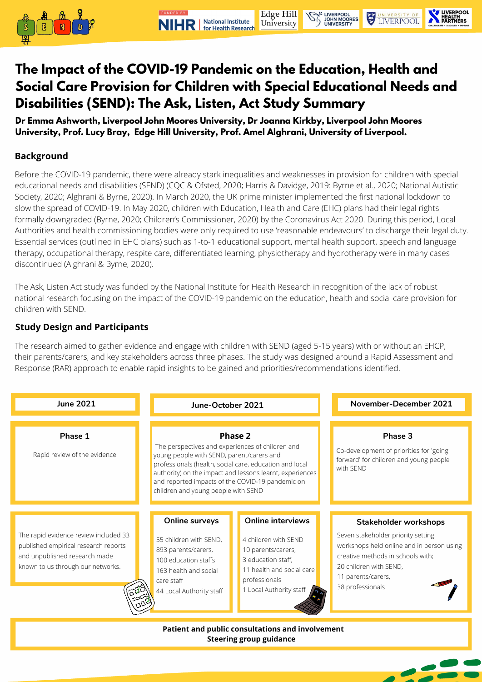



# **The Impact of the COVID-19 Pandemic on the Education, Health and Social Care Provision for Children with Special Educational Needs and Disabilities (SEND): The Ask, Listen, Act Study Summary**

**Dr Emma Ashworth, Liverpool John Moores University, Dr Joanna Kirkby, Liverpool John Moores University, Prof. Lucy Bray, Edge Hill University, Prof. Amel Alghrani, University of Liverpool.**

### **Background**

| <b>June 2021</b>                                                                                                                                    | June-October 2021                                                                                                                                                                                                                                                                                                                 |                                                                                                                                                                     | November-December 2021                                                                                                                                                                                                   |
|-----------------------------------------------------------------------------------------------------------------------------------------------------|-----------------------------------------------------------------------------------------------------------------------------------------------------------------------------------------------------------------------------------------------------------------------------------------------------------------------------------|---------------------------------------------------------------------------------------------------------------------------------------------------------------------|--------------------------------------------------------------------------------------------------------------------------------------------------------------------------------------------------------------------------|
| Phase 1<br>Rapid review of the evidence                                                                                                             | <b>Phase 2</b><br>The perspectives and experiences of children and<br>young people with SEND, parent/carers and<br>professionals (health, social care, education and local<br>authority) on the impact and lessons learnt, experiences<br>and reported impacts of the COVID-19 pandemic on<br>children and young people with SEND |                                                                                                                                                                     | <b>Phase 3</b><br>Co-development of priorities for 'going<br>forward' for children and young people<br>with SEND                                                                                                         |
| The rapid evidence review included 33<br>published empirical research reports<br>and unpublished research made<br>known to us through our networks. | <b>Online surveys</b><br>55 children with SEND,<br>893 parents/carers,<br>100 education staffs<br>163 health and social<br>care staff<br>44 Local Authority staff                                                                                                                                                                 | <b>Online interviews</b><br>4 children with SEND<br>10 parents/carers,<br>3 education staff,<br>11 health and social care<br>professionals<br>Local Authority staff | <b>Stakeholder workshops</b><br>Seven stakeholder priority setting<br>workshops held online and in person using<br>creative methods in schools with;<br>20 children with SEND,<br>11 parents/carers,<br>38 professionals |
| <b>Patient and public consultations and involvement</b><br><b>Steering group guidance</b>                                                           |                                                                                                                                                                                                                                                                                                                                   |                                                                                                                                                                     |                                                                                                                                                                                                                          |



Before the COVID-19 pandemic, there were already stark inequalities and weaknesses in provision for children with special educational needs and disabilities (SEND) (CQC & Ofsted, 2020; Harris & Davidge, 2019: Byrne et al., 2020; National Autistic Society, 2020; Alghrani & Byrne, 2020). In March 2020, the UK prime minister implemented the first national lockdown to slow the spread of COVID-19. In May 2020, children with Education, Health and Care (EHC) plans had their legal rights formally downgraded (Byrne, 2020; Children's Commissioner, 2020) by the Coronavirus Act 2020. During this period, Local Authorities and health commissioning bodies were only required to use 'reasonable endeavours' to discharge their legal duty. Essential services (outlined in EHC plans) such as 1-to-1 educational support, mental health support, speech and language therapy, occupational therapy, respite care, differentiated learning, physiotherapy and hydrotherapy were in many cases discontinued (Alghrani & Byrne, 2020).

The Ask, Listen Act study was funded by the National Institute for Health Research in recognition of the lack of robust national research focusing on the impact of the COVID-19 pandemic on the education, health and social care provision for children with SEND.

## **Study Design and Participants**

The research aimed to gather evidence and engage with children with SEND (aged 5-15 years) with or without an EHCP, their parents/carers, and key stakeholders across three phases. The study was designed around a Rapid Assessment and

Response (RAR) approach to enable rapid insights to be gained and priorities/recommendations identified.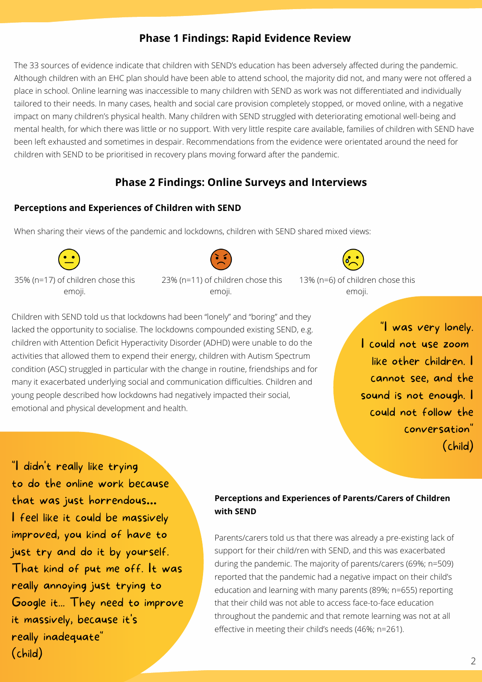# **Phase 2 Findings: Online Surveys and Interviews**

## **Perceptions and Experiences of Children with SEND**

When sharing their views of the pandemic and lockdowns, children with SEND shared mixed views:

Children with SEND told us that lockdowns had been "lonely" and "boring" and they lacked the opportunity to socialise. The lockdowns compounded existing SEND, e.g. children with Attention Deficit Hyperactivity Disorder (ADHD) were unable to do the activities that allowed them to expend their energy, children with Autism Spectrum

condition (ASC) struggled in particular with the change in routine, friendships and for many it exacerbated underlying social and communication difficulties. Children and young people described how lockdowns had negatively impacted their social, emotional and physical development and health.

## **Perceptions and Experiences of Parents/Carers of Children with SEND**

Parents/carers told us that there was already a pre-existing lack of support for their child/ren with SEND, and this was exacerbated during the pandemic. The majority of parents/carers (69%; n=509) reported that the pandemic had a negative impact on their child's education and learning with many parents (89%; n=655) reporting that their child was not able to access face-to-face education throughout the pandemic and that remote learning was not at all effective in meeting their child's needs (46%; n=261).

"I was very lonely. I could not use zoom like other children. cannot see, and the sound is not enough. I could not follow the conversation " (child)

# **Phase 1 Findings: Rapid Evidence Review**

The 33 sources of evidence indicate that children with SEND's education has been adversely affected during the pandemic. Although children with an EHC plan should have been able to attend school, the majority did not, and many were not offered a place in school. Online learning was inaccessible to many children with SEND as work was not differentiated and individually tailored to their needs. In many cases, health and social care provision completely stopped, or moved online, with a negative impact on many children's physical health. Many children with SEND struggled with deteriorating emotional well-being and mental health, for which there was little or no support. With very little respite care available, families of children with SEND have been left exhausted and sometimes in despair. Recommendations from the evidence were orientated around the need for children with SEND to be prioritised in recovery plans moving forward after the pandemic.

35% (n=17) of children chose this emoji.

23% (n=11) of children chose this emoji.

13% (n=6) of children chose this emoji.

"I didn 't really like trying to do the online work because that was just horrendous**…** I feel like it could be massively improved, you kind of have to just try and do it by yourself. That kind of put me off. It was really annoying just trying to Google it... They need to improve it massively, because it' s really inadequate " (child)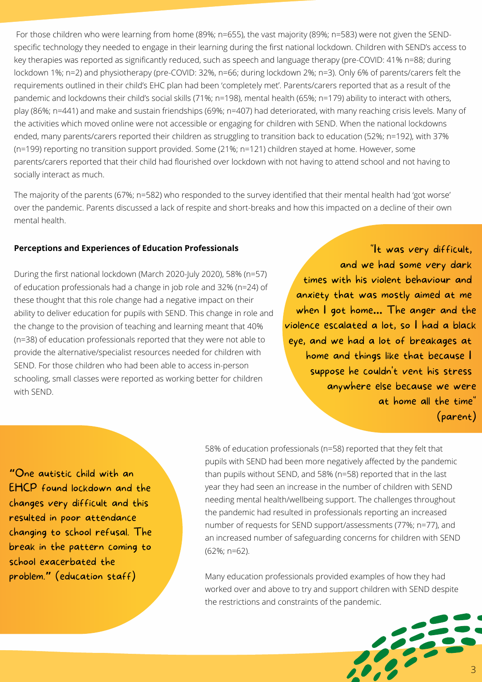

For those children who were learning from home (89%; n=655), the vast majority (89%; n=583) were not given the SENDspecific technology they needed to engage in their learning during the first national lockdown. Children with SEND's access to key therapies was reported as significantly reduced, such as speech and language therapy (pre-COVID: 41% n=88; during lockdown 1%; n=2) and physiotherapy (pre-COVID: 32%, n=66; during lockdown 2%; n=3). Only 6% of parents/carers felt the requirements outlined in their child's EHC plan had been 'completely met'. Parents/carers reported that as a result of the pandemic and lockdowns their child's social skills (71%; n=198), mental health (65%; n=179) ability to interact with others, play (86%; n=441) and make and sustain friendships (69%; n=407) had deteriorated, with many reaching crisis levels. Many of the activities which moved online were not accessible or engaging for children with SEND. When the national lockdowns ended, many parents/carers reported their children as struggling to transition back to education (52%; n=192), with 37% (n=199) reporting no transition support provided. Some (21%; n=121) children stayed at home. However, some parents/carers reported that their child had flourished over lockdown with not having to attend school and not having to socially interact as much.

The majority of the parents (67%; n=582) who responded to the survey identified that their mental health had 'got worse' over the pandemic. Parents discussed a lack of respite and short-breaks and how this impacted on a decline of their own mental health.

#### **Perceptions and Experiences of Education Professionals**

During the first national lockdown (March 2020-July 2020), 58% (n=57) of education professionals had a change in job role and 32% (n=24) of these thought that this role change had a negative impact on their ability to deliver education for pupils with SEND. This change in role and the change to the provision of teaching and learning meant that 40% (n=38) of education professionals reported that they were not able to provide the alternative/specialist resources needed for children with SEND. For those children who had been able to access in-person schooling, small classes were reported as working better for children with SEND.

> 58% of education professionals (n=58) reported that they felt that pupils with SEND had been more negatively affected by the pandemic than pupils without SEND, and 58% (n=58) reported that in the last year they had seen an increase in the number of children with SEND needing mental health/wellbeing support. The challenges throughout the pandemic had resulted in professionals reporting an increased number of requests for SEND support/assessments (77%; n=77), and an increased number of safeguarding concerns for children with SEND (62%; n=62).

> Many education professionals provided examples of how they had worked over and above to try and support children with SEND despite the restrictions and constraints of the pandemic.

"It was very difficult, and we had some very dark times with his violent behaviour and anxiety that was mostly aimed at me when I got home**…** The anger and the violence escalated a lot, so I had a black eye, and we had a lot of breakages at home and things like that because I

> suppose he couldn 't vent his stress anywhere else because we were at home all the time " (parent)

**"**One autistic child with an EHCP found lockdown and the changes very difficult and this resulted in poor attendance changing to school refusal. The break in the pattern coming to school exacerbated the problem.**"** (education staff)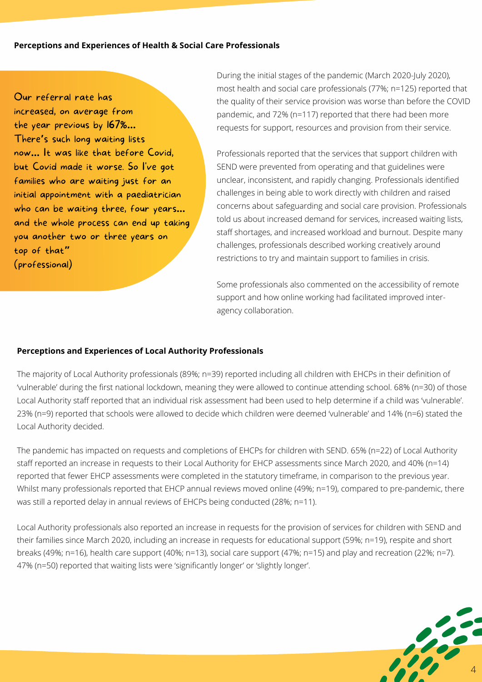

#### **Perceptions and Experiences of Health & Social Care Professionals**

During the initial stages of the pandemic (March 2020-July 2020), most health and social care professionals (77%; n=125) reported that the quality of their service provision was worse than before the COVID pandemic, and 72% (n=117) reported that there had been more requests for support, resources and provision from their service.

Professionals reported that the services that support children with SEND were prevented from operating and that guidelines were unclear, inconsistent, and rapidly changing. Professionals identified challenges in being able to work directly with children and raised concerns about safeguarding and social care provision. Professionals told us about increased demand for services, increased waiting lists, staff shortages, and increased workload and burnout. Despite many challenges, professionals described working creatively around restrictions to try and maintain support to families in crisis.

Some professionals also commented on the accessibility of remote support and how online working had facilitated improved interagency collaboration.

The pandemic has impacted on requests and completions of EHCPs for children with SEND. 65% (n=22) of Local Authority staff reported an increase in requests to their Local Authority for EHCP assessments since March 2020, and 40% (n=14) reported that fewer EHCP assessments were completed in the statutory timeframe, in comparison to the previous year. Whilst many professionals reported that EHCP annual reviews moved online (49%; n=19), compared to pre-pandemic, there was still a reported delay in annual reviews of EHCPs being conducted (28%; n=11).

Local Authority professionals also reported an increase in requests for the provision of services for children with SEND and their families since March 2020, including an increase in requests for educational support (59%; n=19), respite and short breaks (49%; n=16), health care support (40%; n=13), social care support (47%; n=15) and play and recreation (22%; n=7). 47% (n=50) reported that waiting lists were 'significantly longer' or 'slightly longer'.

Our referral rate has increased, on average from the year previous by 167%**…** There**'**s such long waiting lists now**…** It was like that before Covid, but Covid made it worse. So I' ve got families who are waiting just for an initial appointment with a paediatrician who can be waiting three, four years**…** and the whole process can end up taking you another two or three years on top of that**"** (professional)

The majority of Local Authority professionals (89%; n=39) reported including all children with EHCPs in their definition of 'vulnerable' during the first national lockdown, meaning they were allowed to continue attending school. 68% (n=30) of those Local Authority staff reported that an individual risk assessment had been used to help determine if a child was 'vulnerable'. 23% (n=9) reported that schools were allowed to decide which children were deemed 'vulnerable' and 14% (n=6) stated the Local Authority decided.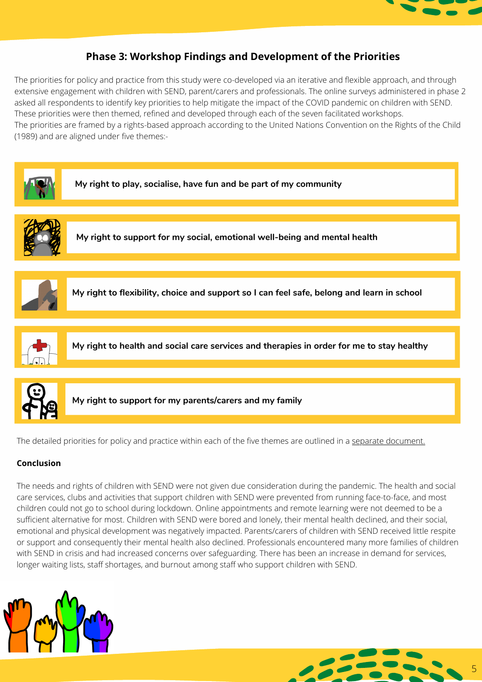

**My right to play, socialise, have fun and be part of my community**



**My right to support for my social, emotional well-being and mental health**



**My right to flexibility, choice and support so I can feel safe, belong and learn in school**



**My right to health and social care services and therapies in order for me to stay healthy**



**My right to support for my parents/carers and my family**

The detailed priorities for policy and practice within each of the five themes are outlined in a separate [document.](https://www.ljmu.ac.uk/~/media/files/ljmu/research/centres-and-institutes/rcbb/priorities.pdf?la=en)

#### **Conclusion**

The needs and rights of children with SEND were not given due consideration during the pandemic. The health and social care services, clubs and activities that support children with SEND were prevented from running face-to-face, and most children could not go to school during lockdown. Online appointments and remote learning were not deemed to be a sufficient alternative for most. Children with SEND were bored and lonely, their mental health declined, and their social, emotional and physical development was negatively impacted. Parents/carers of children with SEND received little respite or support and consequently their mental health also declined. Professionals encountered many more families of children with SEND in crisis and had increased concerns over safeguarding. There has been an increase in demand for services, longer waiting lists, staff shortages, and burnout among staff who support children with SEND.





## **Phase 3: Workshop Findings and Development of the Priorities**

The priorities for policy and practice from this study were co-developed via an iterative and flexible approach, and through extensive engagement with children with SEND, parent/carers and professionals. The online surveys administered in phase 2 asked all respondents to identify key priorities to help mitigate the impact of the COVID pandemic on children with SEND. These priorities were then themed, refined and developed through each of the seven facilitated workshops. The priorities are framed by a rights-based approach according to the United Nations Convention on the Rights of the Child (1989) and are aligned under five themes:-